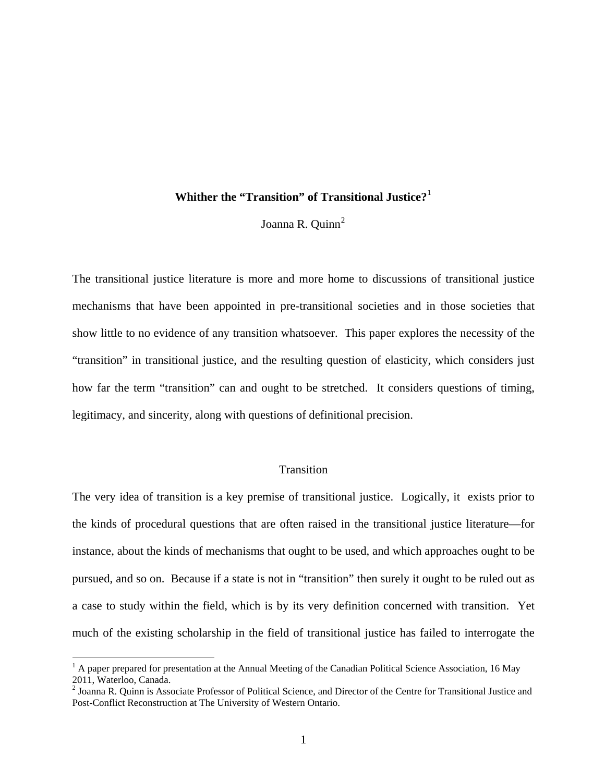# **Whither the "Transition" of Transitional Justice?**[1](#page-0-0)

Joanna R.  $Quinn<sup>2</sup>$  $Quinn<sup>2</sup>$  $Quinn<sup>2</sup>$ 

The transitional justice literature is more and more home to discussions of transitional justice mechanisms that have been appointed in pre-transitional societies and in those societies that show little to no evidence of any transition whatsoever. This paper explores the necessity of the "transition" in transitional justice, and the resulting question of elasticity, which considers just how far the term "transition" can and ought to be stretched. It considers questions of timing, legitimacy, and sincerity, along with questions of definitional precision.

# **Transition**

The very idea of transition is a key premise of transitional justice. Logically, it exists prior to the kinds of procedural questions that are often raised in the transitional justice literature—for instance, about the kinds of mechanisms that ought to be used, and which approaches ought to be pursued, and so on. Because if a state is not in "transition" then surely it ought to be ruled out as a case to study within the field, which is by its very definition concerned with transition. Yet much of the existing scholarship in the field of transitional justice has failed to interrogate the

<span id="page-0-0"></span> $<sup>1</sup>$  A paper prepared for presentation at the Annual Meeting of the Canadian Political Science Association, 16 May</sup> 2011, Waterloo, Canada.

<span id="page-0-1"></span><sup>&</sup>lt;sup>2</sup> Joanna R. Quinn is Associate Professor of Political Science, and Director of the Centre for Transitional Justice and Post-Conflict Reconstruction at The University of Western Ontario.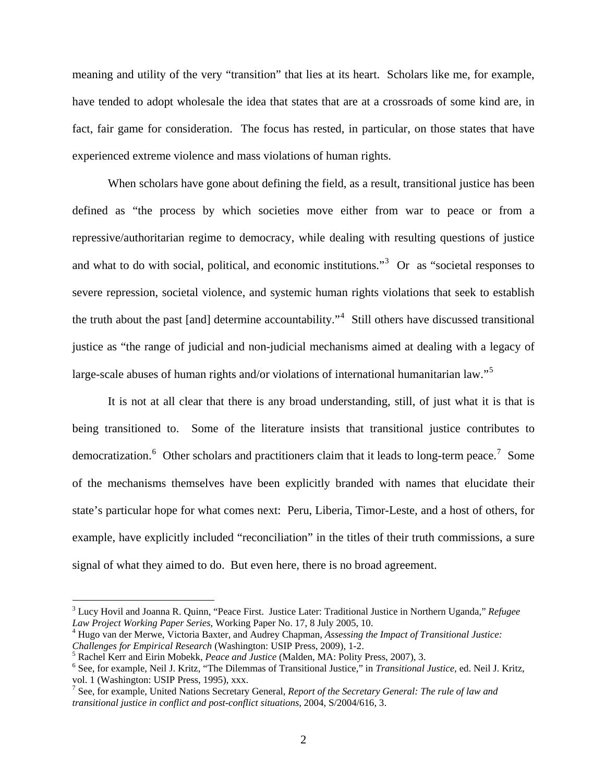meaning and utility of the very "transition" that lies at its heart. Scholars like me, for example, have tended to adopt wholesale the idea that states that are at a crossroads of some kind are, in fact, fair game for consideration. The focus has rested, in particular, on those states that have experienced extreme violence and mass violations of human rights.

 When scholars have gone about defining the field, as a result, transitional justice has been defined as "the process by which societies move either from war to peace or from a repressive/authoritarian regime to democracy, while dealing with resulting questions of justice and what to do with social, political, and economic institutions.<sup>[3](#page-1-0)</sup> Or as "societal responses to severe repression, societal violence, and systemic human rights violations that seek to establish the truth about the past [and] determine accountability."<sup>[4](#page-1-1)</sup> Still others have discussed transitional justice as "the range of judicial and non-judicial mechanisms aimed at dealing with a legacy of large-scale abuses of human rights and/or violations of international humanitarian law."<sup>[5](#page-1-2)</sup>

 It is not at all clear that there is any broad understanding, still, of just what it is that is being transitioned to. Some of the literature insists that transitional justice contributes to democratization. <sup>[6](#page-1-3)</sup> Other scholars and practitioners claim that it leads to long-term peace.<sup>[7](#page-1-4)</sup> Some of the mechanisms themselves have been explicitly branded with names that elucidate their state's particular hope for what comes next: Peru, Liberia, Timor-Leste, and a host of others, for example, have explicitly included "reconciliation" in the titles of their truth commissions, a sure signal of what they aimed to do. But even here, there is no broad agreement.

<span id="page-1-0"></span><sup>3</sup> Lucy Hovil and Joanna R. Quinn, "Peace First. Justice Later: Traditional Justice in Northern Uganda," *Refugee Law Project Working Paper Series*, Working Paper No. 17, 8 July 2005, 10. 4

<span id="page-1-1"></span>Hugo van der Merwe, Victoria Baxter, and Audrey Chapman, *Assessing the Impact of Transitional Justice: Challenges for Empirical Research* (Washington: USIP Press, 2009), 1-2.

<span id="page-1-2"></span>Rachel Kerr and Eirin Mobekk, *Peace and Justice* (Malden, MA: Polity Press, 2007), 3.

<span id="page-1-3"></span>See, for example, Neil J. Kritz, "The Dilemmas of Transitional Justice," in *Transitional Justice*, ed. Neil J. Kritz, vol. 1 (Washington: USIP Press, 1995), xxx.

<span id="page-1-4"></span><sup>7</sup> See, for example, United Nations Secretary General, *Report of the Secretary General: The rule of law and transitional justice in conflict and post-conflict situations*, 2004, S/2004/616, 3.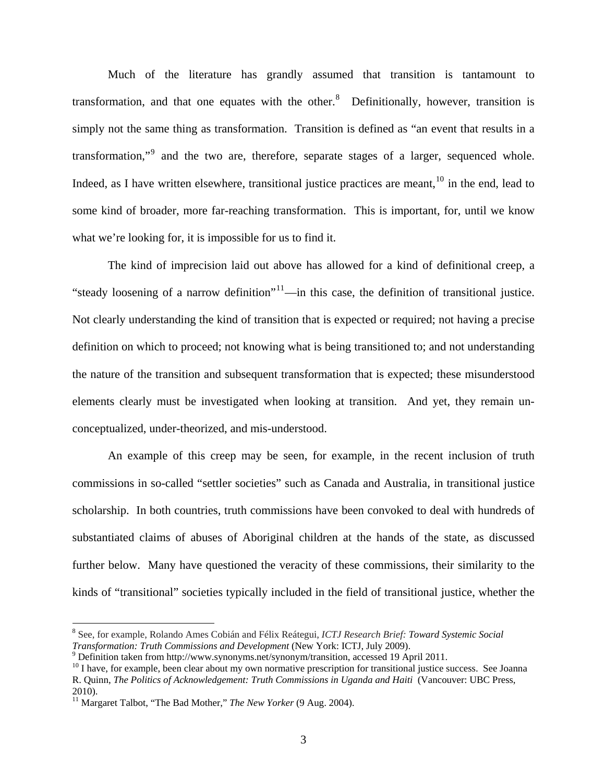Much of the literature has grandly assumed that transition is tantamount to transformation, and that one equates with the other. $\delta$  Definitionally, however, transition is simply not the same thing as transformation. Transition is defined as "an event that results in a transformation,"<sup>[9](#page-2-1)</sup> and the two are, therefore, separate stages of a larger, sequenced whole. Indeed, as I have written elsewhere, transitional justice practices are meant,  $10$  in the end, lead to some kind of broader, more far-reaching transformation. This is important, for, until we know what we're looking for, it is impossible for us to find it.

 The kind of imprecision laid out above has allowed for a kind of definitional creep, a "steady loosening of a narrow definition"<sup>[11](#page-2-3)</sup>—in this case, the definition of transitional justice. Not clearly understanding the kind of transition that is expected or required; not having a precise definition on which to proceed; not knowing what is being transitioned to; and not understanding the nature of the transition and subsequent transformation that is expected; these misunderstood elements clearly must be investigated when looking at transition. And yet, they remain unconceptualized, under-theorized, and mis-understood.

 An example of this creep may be seen, for example, in the recent inclusion of truth commissions in so-called "settler societies" such as Canada and Australia, in transitional justice scholarship. In both countries, truth commissions have been convoked to deal with hundreds of substantiated claims of abuses of Aboriginal children at the hands of the state, as discussed further below. Many have questioned the veracity of these commissions, their similarity to the kinds of "transitional" societies typically included in the field of transitional justice, whether the

<span id="page-2-0"></span><sup>8</sup> See, for example, Rolando Ames Cobián and Félix Reátegui, *ICTJ Research Brief: Toward Systemic Social Transformation: Truth Commissions and Development* (New York: ICTJ, July 2009).<br><sup>9</sup> Definition taken from http://www.synonyms.net/synonym/transition, accessed 19 April 2011.

<span id="page-2-2"></span><span id="page-2-1"></span>

 $10$  I have, for example, been clear about my own normative prescription for transitional justice success. See Joanna R. Quinn, *The Politics of Acknowledgement: Truth Commissions in Uganda and Haiti* (Vancouver: UBC Press, 2010).

<span id="page-2-3"></span><sup>11</sup> Margaret Talbot, "The Bad Mother," *The New Yorker* (9 Aug. 2004).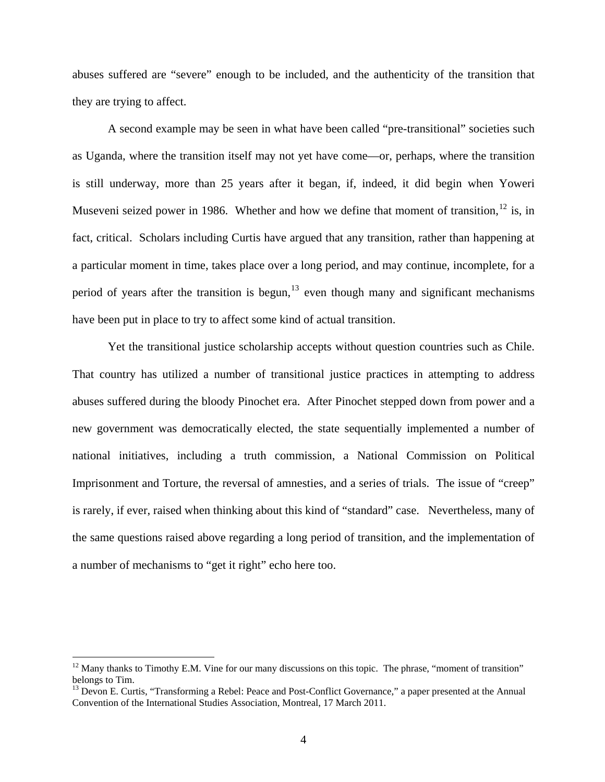abuses suffered are "severe" enough to be included, and the authenticity of the transition that they are trying to affect.

 A second example may be seen in what have been called "pre-transitional" societies such as Uganda, where the transition itself may not yet have come—or, perhaps, where the transition is still underway, more than 25 years after it began, if, indeed, it did begin when Yoweri Museveni seized power in 1986. Whether and how we define that moment of transition,  $^{12}$  $^{12}$  $^{12}$  is, in fact, critical. Scholars including Curtis have argued that any transition, rather than happening at a particular moment in time, takes place over a long period, and may continue, incomplete, for a period of years after the transition is begun,  $13$  even though many and significant mechanisms have been put in place to try to affect some kind of actual transition.

 Yet the transitional justice scholarship accepts without question countries such as Chile. That country has utilized a number of transitional justice practices in attempting to address abuses suffered during the bloody Pinochet era. After Pinochet stepped down from power and a new government was democratically elected, the state sequentially implemented a number of national initiatives, including a truth commission, a National Commission on Political Imprisonment and Torture, the reversal of amnesties, and a series of trials. The issue of "creep" is rarely, if ever, raised when thinking about this kind of "standard" case. Nevertheless, many of the same questions raised above regarding a long period of transition, and the implementation of a number of mechanisms to "get it right" echo here too.

<span id="page-3-0"></span> $12$  Many thanks to Timothy E.M. Vine for our many discussions on this topic. The phrase, "moment of transition" belongs to Tim.

<span id="page-3-1"></span> $13$  Devon E. Curtis, "Transforming a Rebel: Peace and Post-Conflict Governance," a paper presented at the Annual Convention of the International Studies Association, Montreal, 17 March 2011.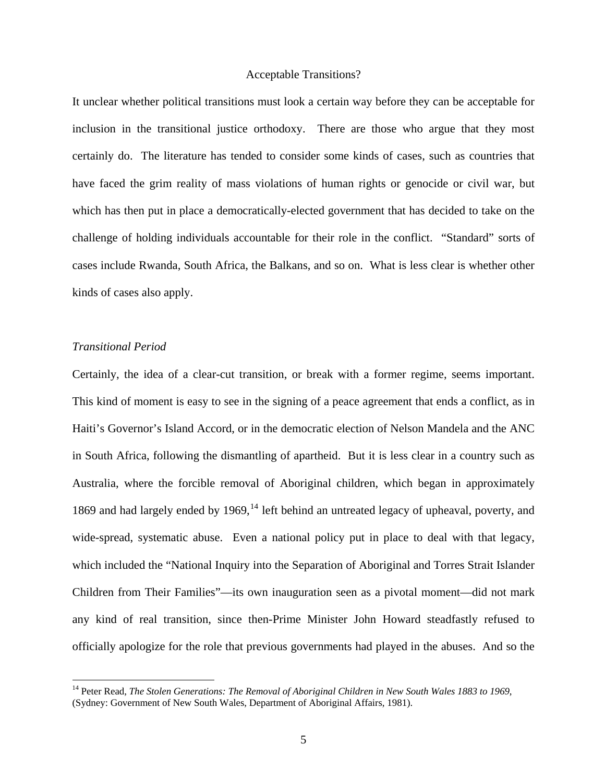#### Acceptable Transitions?

It unclear whether political transitions must look a certain way before they can be acceptable for inclusion in the transitional justice orthodoxy. There are those who argue that they most certainly do. The literature has tended to consider some kinds of cases, such as countries that have faced the grim reality of mass violations of human rights or genocide or civil war, but which has then put in place a democratically-elected government that has decided to take on the challenge of holding individuals accountable for their role in the conflict. "Standard" sorts of cases include Rwanda, South Africa, the Balkans, and so on. What is less clear is whether other kinds of cases also apply.

### *Transitional Period*

 $\overline{a}$ 

Certainly, the idea of a clear-cut transition, or break with a former regime, seems important. This kind of moment is easy to see in the signing of a peace agreement that ends a conflict, as in Haiti's Governor's Island Accord, or in the democratic election of Nelson Mandela and the ANC in South Africa, following the dismantling of apartheid. But it is less clear in a country such as Australia, where the forcible removal of Aboriginal children, which began in approximately 1869 and had largely ended by 1969, $^{14}$  $^{14}$  $^{14}$  left behind an untreated legacy of upheaval, poverty, and wide-spread, systematic abuse. Even a national policy put in place to deal with that legacy, which included the "National Inquiry into the Separation of Aboriginal and Torres Strait Islander Children from Their Families"—its own inauguration seen as a pivotal moment—did not mark any kind of real transition, since then-Prime Minister John Howard steadfastly refused to officially apologize for the role that previous governments had played in the abuses. And so the

<span id="page-4-0"></span><sup>&</sup>lt;sup>14</sup> Peter Read, *The Stolen Generations: The Removal of Aboriginal Children in New South Wales 1883 to 1969*, (Sydney: Government of New South Wales, Department of Aboriginal Affairs, 1981).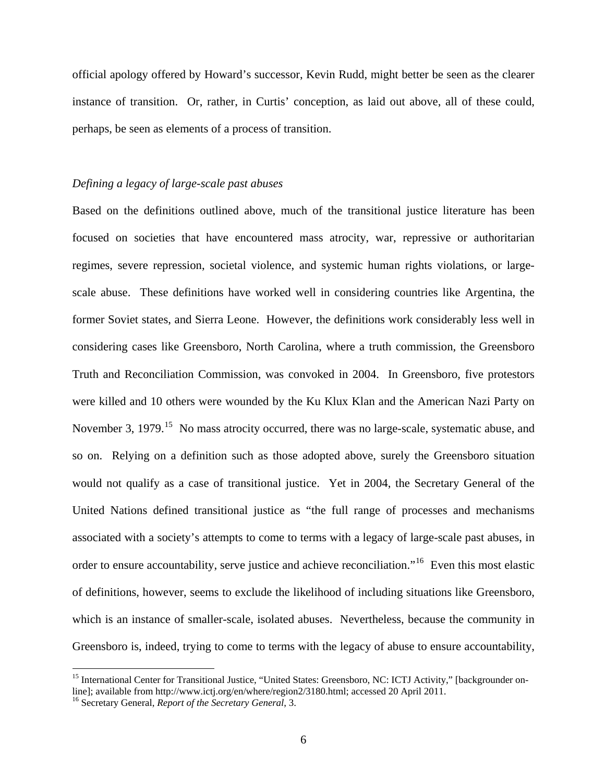official apology offered by Howard's successor, Kevin Rudd, might better be seen as the clearer instance of transition. Or, rather, in Curtis' conception, as laid out above, all of these could, perhaps, be seen as elements of a process of transition.

## *Defining a legacy of large-scale past abuses*

Based on the definitions outlined above, much of the transitional justice literature has been focused on societies that have encountered mass atrocity, war, repressive or authoritarian regimes, severe repression, societal violence, and systemic human rights violations, or largescale abuse. These definitions have worked well in considering countries like Argentina, the former Soviet states, and Sierra Leone. However, the definitions work considerably less well in considering cases like Greensboro, North Carolina, where a truth commission, the Greensboro Truth and Reconciliation Commission, was convoked in 2004. In Greensboro, five protestors were killed and 10 others were wounded by the Ku Klux Klan and the American Nazi Party on November 3, 1979.<sup>[15](#page-5-0)</sup> No mass atrocity occurred, there was no large-scale, systematic abuse, and so on. Relying on a definition such as those adopted above, surely the Greensboro situation would not qualify as a case of transitional justice. Yet in 2004, the Secretary General of the United Nations defined transitional justice as "the full range of processes and mechanisms associated with a society's attempts to come to terms with a legacy of large-scale past abuses, in order to ensure accountability, serve justice and achieve reconciliation."[16](#page-5-1) Even this most elastic of definitions, however, seems to exclude the likelihood of including situations like Greensboro, which is an instance of smaller-scale, isolated abuses. Nevertheless, because the community in Greensboro is, indeed, trying to come to terms with the legacy of abuse to ensure accountability,

<span id="page-5-0"></span><sup>&</sup>lt;sup>15</sup> International Center for Transitional Justice, "United States: Greensboro, NC: ICTJ Activity," [backgrounder online]; available from http://www.ictj.org/en/where/region2/3180.html; accessed 20 April 2011.<br><sup>16</sup> Secretary General, *Report of the Secretary General*, 3.

<span id="page-5-1"></span>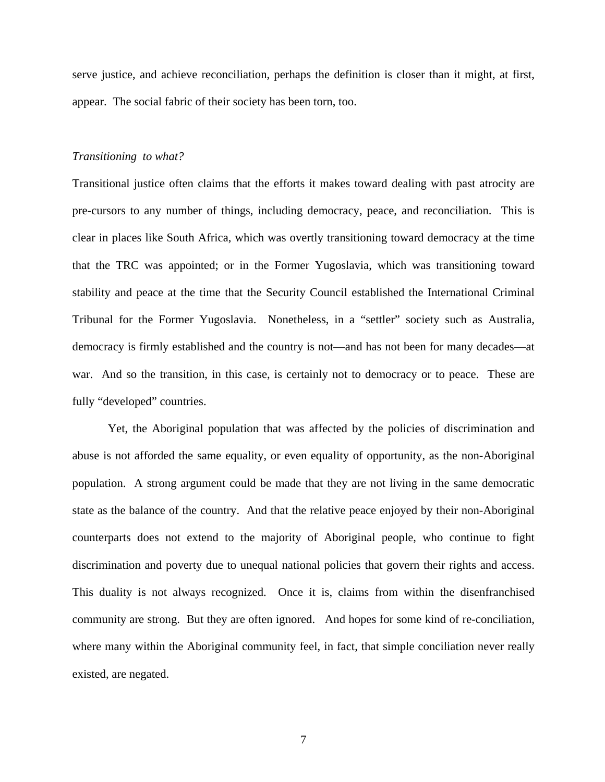serve justice, and achieve reconciliation, perhaps the definition is closer than it might, at first, appear. The social fabric of their society has been torn, too.

#### *Transitioning to what?*

Transitional justice often claims that the efforts it makes toward dealing with past atrocity are pre-cursors to any number of things, including democracy, peace, and reconciliation. This is clear in places like South Africa, which was overtly transitioning toward democracy at the time that the TRC was appointed; or in the Former Yugoslavia, which was transitioning toward stability and peace at the time that the Security Council established the International Criminal Tribunal for the Former Yugoslavia. Nonetheless, in a "settler" society such as Australia, democracy is firmly established and the country is not—and has not been for many decades—at war. And so the transition, in this case, is certainly not to democracy or to peace. These are fully "developed" countries.

 Yet, the Aboriginal population that was affected by the policies of discrimination and abuse is not afforded the same equality, or even equality of opportunity, as the non-Aboriginal population. A strong argument could be made that they are not living in the same democratic state as the balance of the country. And that the relative peace enjoyed by their non-Aboriginal counterparts does not extend to the majority of Aboriginal people, who continue to fight discrimination and poverty due to unequal national policies that govern their rights and access. This duality is not always recognized. Once it is, claims from within the disenfranchised community are strong. But they are often ignored. And hopes for some kind of re-conciliation, where many within the Aboriginal community feel, in fact, that simple conciliation never really existed, are negated.

7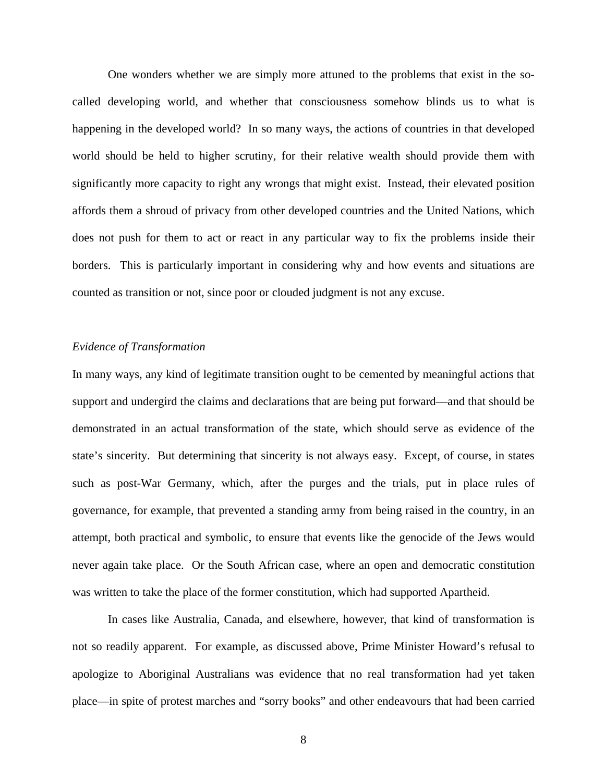One wonders whether we are simply more attuned to the problems that exist in the socalled developing world, and whether that consciousness somehow blinds us to what is happening in the developed world? In so many ways, the actions of countries in that developed world should be held to higher scrutiny, for their relative wealth should provide them with significantly more capacity to right any wrongs that might exist. Instead, their elevated position affords them a shroud of privacy from other developed countries and the United Nations, which does not push for them to act or react in any particular way to fix the problems inside their borders. This is particularly important in considering why and how events and situations are counted as transition or not, since poor or clouded judgment is not any excuse.

### *Evidence of Transformation*

In many ways, any kind of legitimate transition ought to be cemented by meaningful actions that support and undergird the claims and declarations that are being put forward—and that should be demonstrated in an actual transformation of the state, which should serve as evidence of the state's sincerity. But determining that sincerity is not always easy. Except, of course, in states such as post-War Germany, which, after the purges and the trials, put in place rules of governance, for example, that prevented a standing army from being raised in the country, in an attempt, both practical and symbolic, to ensure that events like the genocide of the Jews would never again take place. Or the South African case, where an open and democratic constitution was written to take the place of the former constitution, which had supported Apartheid.

 In cases like Australia, Canada, and elsewhere, however, that kind of transformation is not so readily apparent. For example, as discussed above, Prime Minister Howard's refusal to apologize to Aboriginal Australians was evidence that no real transformation had yet taken place—in spite of protest marches and "sorry books" and other endeavours that had been carried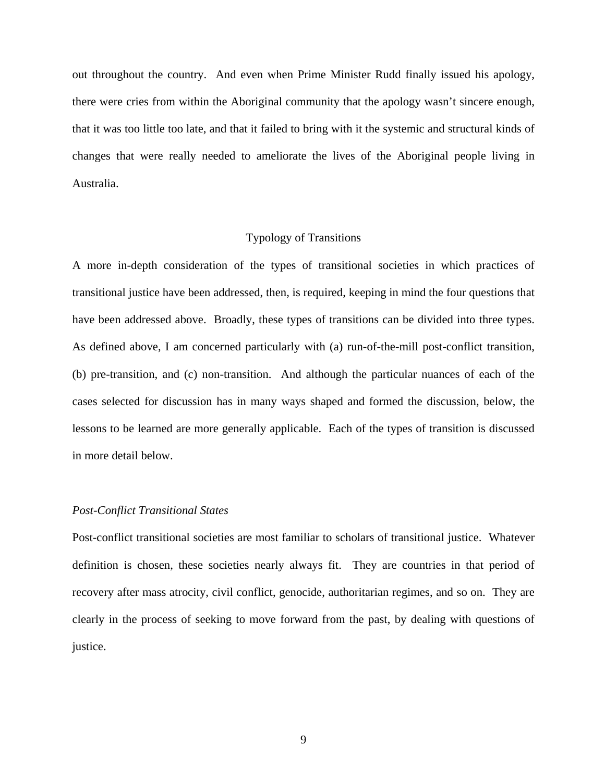out throughout the country. And even when Prime Minister Rudd finally issued his apology, there were cries from within the Aboriginal community that the apology wasn't sincere enough, that it was too little too late, and that it failed to bring with it the systemic and structural kinds of changes that were really needed to ameliorate the lives of the Aboriginal people living in Australia.

#### Typology of Transitions

A more in-depth consideration of the types of transitional societies in which practices of transitional justice have been addressed, then, is required, keeping in mind the four questions that have been addressed above. Broadly, these types of transitions can be divided into three types. As defined above, I am concerned particularly with (a) run-of-the-mill post-conflict transition, (b) pre-transition, and (c) non-transition. And although the particular nuances of each of the cases selected for discussion has in many ways shaped and formed the discussion, below, the lessons to be learned are more generally applicable. Each of the types of transition is discussed in more detail below.

## *Post-Conflict Transitional States*

Post-conflict transitional societies are most familiar to scholars of transitional justice. Whatever definition is chosen, these societies nearly always fit. They are countries in that period of recovery after mass atrocity, civil conflict, genocide, authoritarian regimes, and so on. They are clearly in the process of seeking to move forward from the past, by dealing with questions of justice.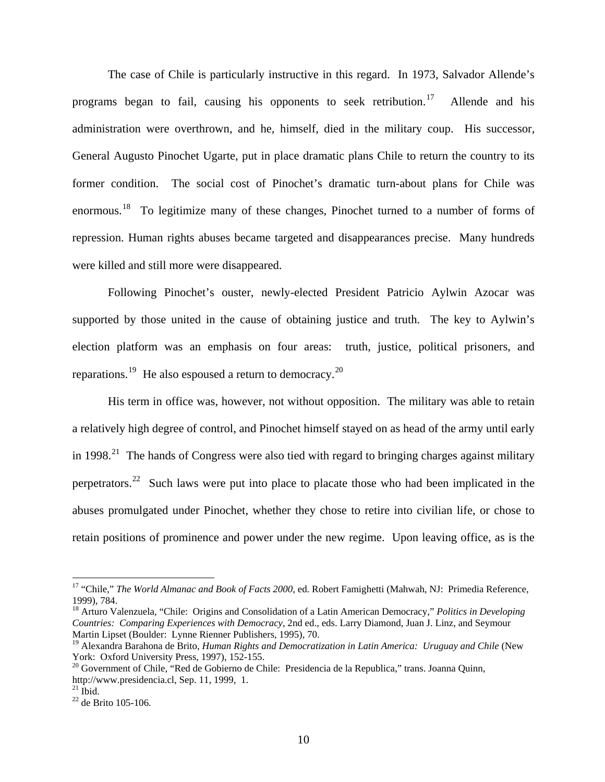The case of Chile is particularly instructive in this regard. In 1973, Salvador Allende's programs began to fail, causing his opponents to seek retribution.<sup>[17](#page-9-0)</sup> Allende and his administration were overthrown, and he, himself, died in the military coup. His successor, General Augusto Pinochet Ugarte, put in place dramatic plans Chile to return the country to its former condition. The social cost of Pinochet's dramatic turn-about plans for Chile was enormous.<sup>[18](#page-9-1)</sup> To legitimize many of these changes, Pinochet turned to a number of forms of repression. Human rights abuses became targeted and disappearances precise. Many hundreds were killed and still more were disappeared.

Following Pinochet's ouster, newly-elected President Patricio Aylwin Azocar was supported by those united in the cause of obtaining justice and truth. The key to Aylwin's election platform was an emphasis on four areas: truth, justice, political prisoners, and reparations.<sup>[19](#page-9-2)</sup> He also espoused a return to democracy.<sup>[20](#page-9-3)</sup>

His term in office was, however, not without opposition. The military was able to retain a relatively high degree of control, and Pinochet himself stayed on as head of the army until early in 1998.<sup>[21](#page-9-4)</sup> The hands of Congress were also tied with regard to bringing charges against military perpetrators.<sup>[22](#page-9-5)</sup> Such laws were put into place to placate those who had been implicated in the abuses promulgated under Pinochet, whether they chose to retire into civilian life, or chose to retain positions of prominence and power under the new regime. Upon leaving office, as is the

<span id="page-9-0"></span><sup>&</sup>lt;sup>17</sup> "Chile," *The World Almanac and Book of Facts 2000*, ed. Robert Famighetti (Mahwah, NJ: Primedia Reference, 1999), 784.

<span id="page-9-1"></span><sup>18</sup> Arturo Valenzuela, "Chile: Origins and Consolidation of a Latin American Democracy," *Politics in Developing Countries: Comparing Experiences with Democracy*, 2nd ed., eds. Larry Diamond, Juan J. Linz, and Seymour Martin Lipset (Boulder: Lynne Rienner Publishers, 1995), 70.

<span id="page-9-2"></span><sup>19</sup> Alexandra Barahona de Brito, *Human Rights and Democratization in Latin America: Uruguay and Chile* (New York: Oxford University Press, 1997), 152-155.

<span id="page-9-3"></span><sup>&</sup>lt;sup>20</sup> Government of Chile, "Red de Gobierno de Chile: Presidencia de la Republica," trans. Joanna Quinn, http://www.presidencia.cl, Sep. 11, 1999, 1.

<span id="page-9-4"></span> $^{21}$  Ibid.

<span id="page-9-5"></span><sup>22</sup> de Brito 105-106.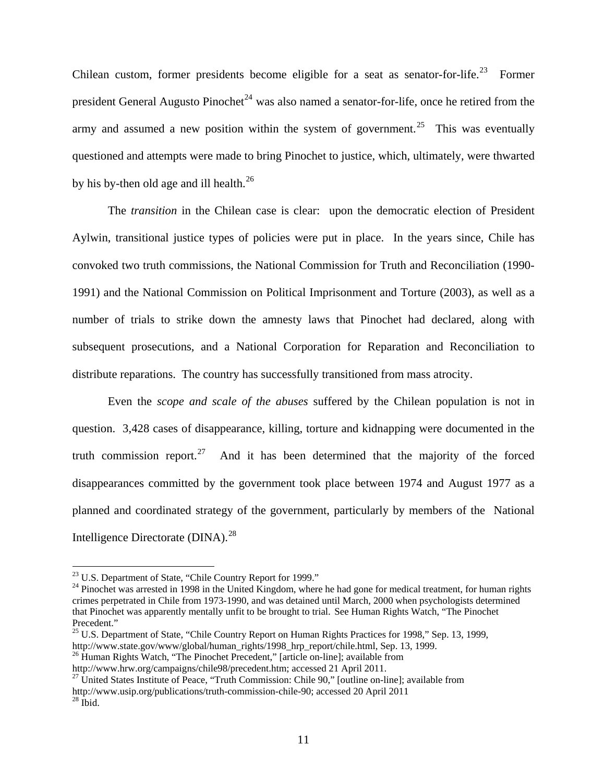Chilean custom, former presidents become eligible for a seat as senator-for-life.<sup>[23](#page-10-0)</sup> Former president General Augusto Pinochet<sup>[24](#page-10-1)</sup> was also named a senator-for-life, once he retired from the army and assumed a new position within the system of government.<sup>[25](#page-10-2)</sup> This was eventually questioned and attempts were made to bring Pinochet to justice, which, ultimately, were thwarted by his by-then old age and ill health. $^{26}$  $^{26}$  $^{26}$ 

The *transition* in the Chilean case is clear: upon the democratic election of President Aylwin, transitional justice types of policies were put in place. In the years since, Chile has convoked two truth commissions, the National Commission for Truth and Reconciliation (1990- 1991) and the National Commission on Political Imprisonment and Torture (2003), as well as a number of trials to strike down the amnesty laws that Pinochet had declared, along with subsequent prosecutions, and a National Corporation for Reparation and Reconciliation to distribute reparations. The country has successfully transitioned from mass atrocity.

Even the *scope and scale of the abuses* suffered by the Chilean population is not in question. 3,428 cases of disappearance, killing, torture and kidnapping were documented in the truth commission report.<sup>[27](#page-10-4)</sup> And it has been determined that the majority of the forced disappearances committed by the government took place between 1974 and August 1977 as a planned and coordinated strategy of the government, particularly by members of the National Intelligence Directorate (DINA).<sup>[28](#page-10-5)</sup>

<span id="page-10-0"></span><sup>&</sup>lt;sup>23</sup> U.S. Department of State, "Chile Country Report for 1999."

<span id="page-10-1"></span><sup>&</sup>lt;sup>24</sup> Pinochet was arrested in 1998 in the United Kingdom, where he had gone for medical treatment, for human rights crimes perpetrated in Chile from 1973-1990, and was detained until March, 2000 when psychologists determined that Pinochet was apparently mentally unfit to be brought to trial. See Human Rights Watch, "The Pinochet Precedent."

 $^{25}$  U.S. Department of State, "Chile Country Report on Human Rights Practices for 1998," Sep. 13, 1999,

<span id="page-10-3"></span><span id="page-10-2"></span>http://www.state.gov/www/global/human\_rights/1998\_hrp\_report/chile.html, Sep. 13, 1999.<br><sup>26</sup> Human Rights Watch, "The Pinochet Precedent," [article on-line]; available from<br>http://www.hrw.org/campaigns/chile98/precedent.ht

<span id="page-10-4"></span><sup>&</sup>lt;sup>27</sup> United States Institute of Peace, "Truth Commission: Chile 90," [outline on-line]; available from

<span id="page-10-5"></span>http://www.usip.org/publications/truth-commission-chile-90; accessed 20 April 2011<sup>28</sup> Ibid.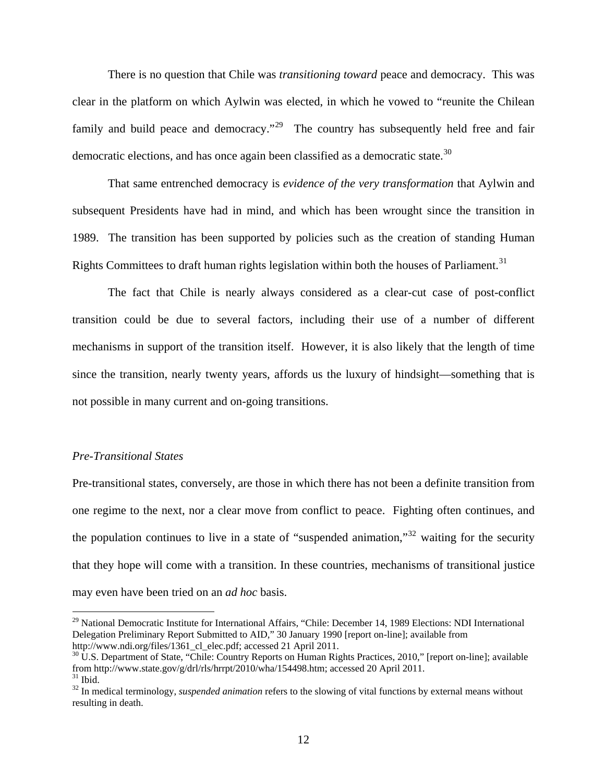There is no question that Chile was *transitioning toward* peace and democracy. This was clear in the platform on which Aylwin was elected, in which he vowed to "reunite the Chilean family and build peace and democracy."<sup>[29](#page-11-0)</sup> The country has subsequently held free and fair democratic elections, and has once again been classified as a democratic state.<sup>[30](#page-11-1)</sup>

That same entrenched democracy is *evidence of the very transformation* that Aylwin and subsequent Presidents have had in mind, and which has been wrought since the transition in 1989. The transition has been supported by policies such as the creation of standing Human Rights Committees to draft human rights legislation within both the houses of Parliament.<sup>[31](#page-11-2)</sup>

The fact that Chile is nearly always considered as a clear-cut case of post-conflict transition could be due to several factors, including their use of a number of different mechanisms in support of the transition itself. However, it is also likely that the length of time since the transition, nearly twenty years, affords us the luxury of hindsight—something that is not possible in many current and on-going transitions.

### *Pre-Transitional States*

Pre-transitional states, conversely, are those in which there has not been a definite transition from one regime to the next, nor a clear move from conflict to peace. Fighting often continues, and the population continues to live in a state of "suspended animation,"<sup>[32](#page-11-3)</sup> waiting for the security that they hope will come with a transition. In these countries, mechanisms of transitional justice may even have been tried on an *ad hoc* basis.

<span id="page-11-0"></span><sup>&</sup>lt;sup>29</sup> National Democratic Institute for International Affairs, "Chile: December 14, 1989 Elections: NDI International Delegation Preliminary Report Submitted to AID," 30 January 1990 [report on-line]; available from http://www.ndi.org/files/1361\_cl\_elec.pdf; accessed 21 April 2011.<br><sup>30</sup> U.S. Department of State, "Chile: Country Reports on Human Rights Practices, 2010," [report on-line]; available

<span id="page-11-1"></span>from http://www.state.gov/g/drl/rls/hrrpt/2010/wha/154498.htm; accessed 20 April 2011.<br><sup>31</sup> Ibid.

<span id="page-11-3"></span><span id="page-11-2"></span><sup>&</sup>lt;sup>32</sup> In medical terminology, *suspended animation* refers to the slowing of vital functions by external means without resulting in death.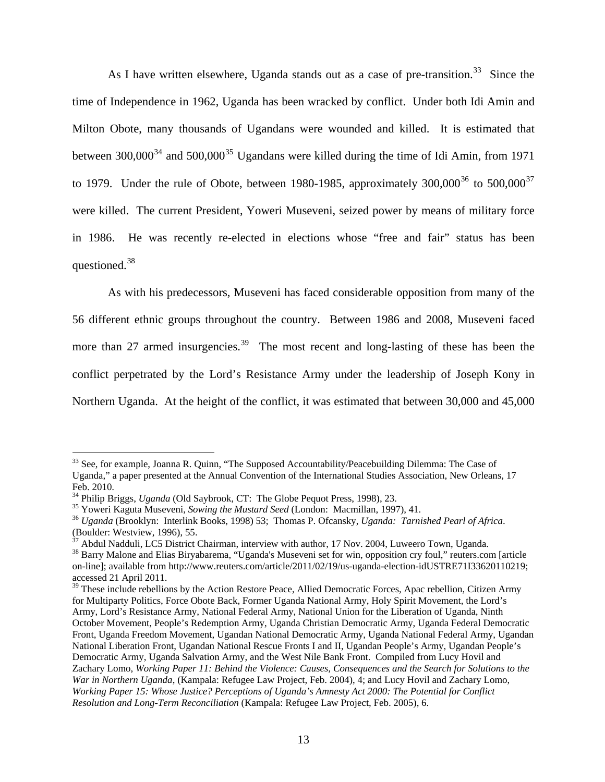As I have written elsewhere, Uganda stands out as a case of pre-transition.<sup>[33](#page-12-0)</sup> Since the time of Independence in 1962, Uganda has been wracked by conflict. Under both Idi Amin and Milton Obote, many thousands of Ugandans were wounded and killed. It is estimated that between  $300,000^{34}$  $300,000^{34}$  $300,000^{34}$  and  $500,000^{35}$  $500,000^{35}$  $500,000^{35}$  Ugandans were killed during the time of Idi Amin, from 1971 to 1979. Under the rule of Obote, between 1980-1985, approximately  $300,000^{36}$  $300,000^{36}$  $300,000^{36}$  to  $500,000^{37}$  $500,000^{37}$  $500,000^{37}$ were killed. The current President, Yoweri Museveni, seized power by means of military force in 1986. He was recently re-elected in elections whose "free and fair" status has been questioned.[38](#page-12-5)

 As with his predecessors, Museveni has faced considerable opposition from many of the 56 different ethnic groups throughout the country. Between 1986 and 2008, Museveni faced more than 27 armed insurgencies.<sup>[39](#page-12-6)</sup> The most recent and long-lasting of these has been the conflict perpetrated by the Lord's Resistance Army under the leadership of Joseph Kony in Northern Uganda. At the height of the conflict, it was estimated that between 30,000 and 45,000

<span id="page-12-0"></span><sup>&</sup>lt;sup>33</sup> See, for example, Joanna R. Quinn, "The Supposed Accountability/Peacebuilding Dilemma: The Case of Uganda," a paper presented at the Annual Convention of the International Studies Association, New Orleans, 17 Feb. 2010.<br><sup>34</sup> Philip Briggs, *Uganda* (Old Saybrook, CT: The Globe Pequot Press, 1998), 23.

<span id="page-12-1"></span>

<span id="page-12-3"></span><span id="page-12-2"></span><sup>&</sup>lt;sup>35</sup> Yoweri Kaguta Museveni, Sowing the Mustard Seed (London: Macmillan, 1997), 41.<br><sup>36</sup> Uganda (Brooklyn: Interlink Books, 1998) 53; Thomas P. Ofcansky, Uganda: *Tarnished Pearl of Africa*. (Boulder: Westview, 1996), 55.

<span id="page-12-4"></span> $37$  Abdul Nadduli, LC5 District Chairman, interview with author, 17 Nov. 2004, Luweero Town, Uganda.

<span id="page-12-5"></span><sup>&</sup>lt;sup>38</sup> [Barry Malone](http://blogs.reuters.com/search/journalist.php?edition=us&n=barrymalone&) and Elias Biryabarema, "Uganda's Museveni set for win, opposition cry foul," reuters.com [article on-line]; available from http://www.reuters.com/article/2011/02/19/us-uganda-election-idUSTRE71I33620110219; accessed 21 April 2011.

<span id="page-12-6"></span><sup>&</sup>lt;sup>39</sup> These include rebellions by the Action Restore Peace, Allied Democratic Forces, Apac rebellion, Citizen Army for Multiparty Politics, Force Obote Back, Former Uganda National Army, Holy Spirit Movement, the Lord's Army, Lord's Resistance Army, National Federal Army, National Union for the Liberation of Uganda, Ninth October Movement, People's Redemption Army, Uganda Christian Democratic Army, Uganda Federal Democratic Front, Uganda Freedom Movement, Ugandan National Democratic Army, Uganda National Federal Army, Ugandan National Liberation Front, Ugandan National Rescue Fronts I and II, Ugandan People's Army, Ugandan People's Democratic Army, Uganda Salvation Army, and the West Nile Bank Front. Compiled from Lucy Hovil and Zachary Lomo, *Working Paper 11: Behind the Violence: Causes, Consequences and the Search for Solutions to the War in Northern Uganda*, (Kampala: Refugee Law Project, Feb. 2004), 4; and Lucy Hovil and Zachary Lomo, *Working Paper 15: Whose Justice? Perceptions of Uganda's Amnesty Act 2000: The Potential for Conflict Resolution and Long-Term Reconciliation* (Kampala: Refugee Law Project, Feb. 2005), 6.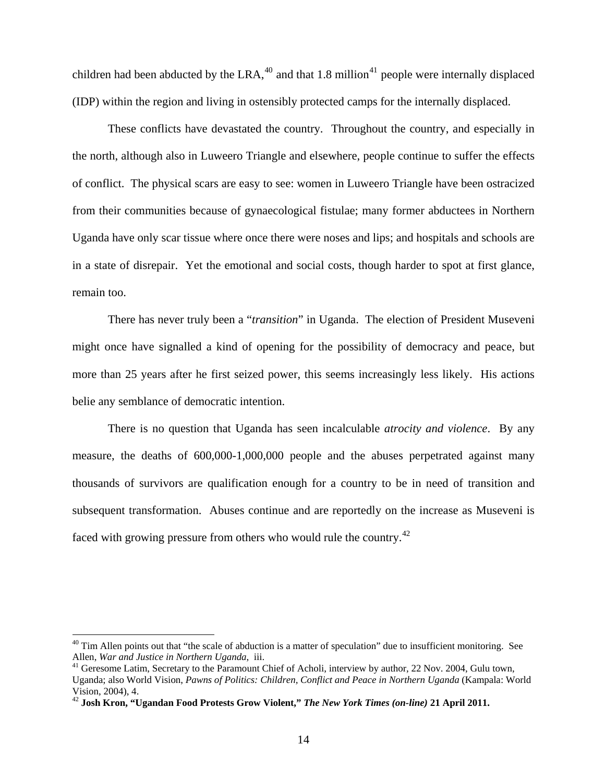children had been abducted by the LRA,  $40$  and that 1.8 million<sup>[41](#page-13-1)</sup> people were internally displaced (IDP) within the region and living in ostensibly protected camps for the internally displaced.

 These conflicts have devastated the country. Throughout the country, and especially in the north, although also in Luweero Triangle and elsewhere, people continue to suffer the effects of conflict. The physical scars are easy to see: women in Luweero Triangle have been ostracized from their communities because of gynaecological fistulae; many former abductees in Northern Uganda have only scar tissue where once there were noses and lips; and hospitals and schools are in a state of disrepair. Yet the emotional and social costs, though harder to spot at first glance, remain too.

 There has never truly been a "*transition*" in Uganda. The election of President Museveni might once have signalled a kind of opening for the possibility of democracy and peace, but more than 25 years after he first seized power, this seems increasingly less likely. His actions belie any semblance of democratic intention.

 There is no question that Uganda has seen incalculable *atrocity and violence*. By any measure, the deaths of 600,000-1,000,000 people and the abuses perpetrated against many thousands of survivors are qualification enough for a country to be in need of transition and subsequent transformation. Abuses continue and are reportedly on the increase as Museveni is faced with growing pressure from others who would rule the country.<sup>[42](#page-13-2)</sup>

<span id="page-13-0"></span> $^{40}$  Tim Allen points out that "the scale of abduction is a matter of speculation" due to insufficient monitoring. See Allen, *War and Justice in Northern Uganda*, iii.

<span id="page-13-1"></span><sup>&</sup>lt;sup>41</sup> Geresome Latim, Secretary to the Paramount Chief of Acholi, interview by author, 22 Nov. 2004, Gulu town, Uganda; also World Vision, *Pawns of Politics: Children, Conflict and Peace in Northern Uganda* (Kampala: World Vision, 2004), 4.

<span id="page-13-2"></span><sup>42</sup> **Josh Kron, "Ugandan Food Protests Grow Violent,"** *The New York Times (on-line)* **21 April 2011.**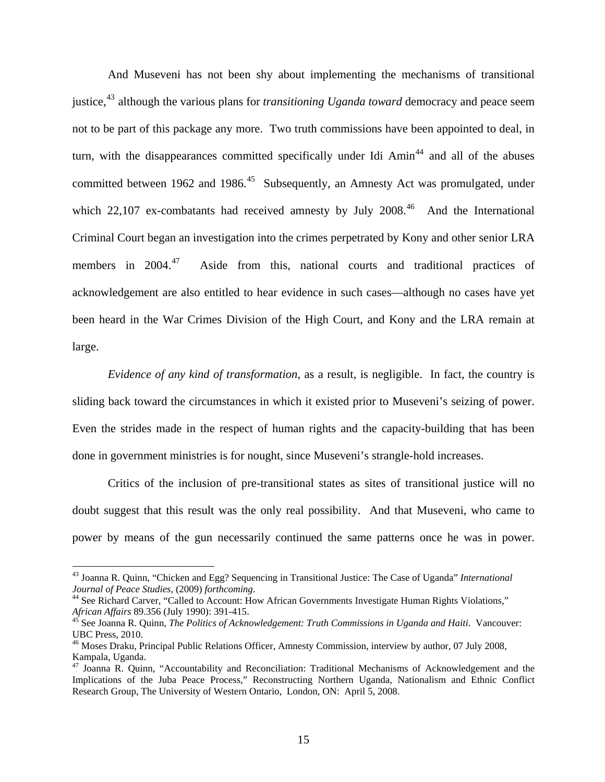And Museveni has not been shy about implementing the mechanisms of transitional justice,<sup>[43](#page-14-0)</sup> although the various plans for *transitioning Uganda toward* democracy and peace seem not to be part of this package any more. Two truth commissions have been appointed to deal, in turn, with the disappearances committed specifically under Idi  $Amin<sup>44</sup>$  $Amin<sup>44</sup>$  $Amin<sup>44</sup>$  and all of the abuses committed between 1962 and 1986.<sup>[45](#page-14-2)</sup> Subsequently, an Amnesty Act was promulgated, under which 22,107 ex-combatants had received amnesty by July 2008.<sup>[46](#page-14-3)</sup> And the International Criminal Court began an investigation into the crimes perpetrated by Kony and other senior LRA members in  $2004.<sup>47</sup>$  $2004.<sup>47</sup>$  $2004.<sup>47</sup>$  Aside from this, national courts and traditional practices of acknowledgement are also entitled to hear evidence in such cases—although no cases have yet been heard in the War Crimes Division of the High Court, and Kony and the LRA remain at large.

*Evidence of any kind of transformation*, as a result, is negligible. In fact, the country is sliding back toward the circumstances in which it existed prior to Museveni's seizing of power. Even the strides made in the respect of human rights and the capacity-building that has been done in government ministries is for nought, since Museveni's strangle-hold increases.

 Critics of the inclusion of pre-transitional states as sites of transitional justice will no doubt suggest that this result was the only real possibility. And that Museveni, who came to power by means of the gun necessarily continued the same patterns once he was in power.

<span id="page-14-0"></span><sup>43</sup> Joanna R. Quinn, "Chicken and Egg? Sequencing in Transitional Justice: The Case of Uganda" *International Journal of Peace Studies*, (2009) *forthcoming*.<br><sup>44</sup> See Richard Carver, "Called to Account: How African Governments Investigate Human Rights Violations,"

<span id="page-14-1"></span>*African Affairs* 89.356 (July 1990): 391-415.<br><sup>45</sup> See Joanna R. Quinn, *The Politics of Acknowledgement: Truth Commissions in Uganda and Haiti*. Vancouver:

<span id="page-14-2"></span>UBC Press, 2010.

<span id="page-14-3"></span><sup>&</sup>lt;sup>46</sup> Moses Draku, Principal Public Relations Officer, Amnesty Commission, interview by author, 07 July 2008, Kampala, Uganda.

<span id="page-14-4"></span><sup>&</sup>lt;sup>47</sup> Joanna R. Quinn, "Accountability and Reconciliation: Traditional Mechanisms of Acknowledgement and the Implications of the Juba Peace Process," Reconstructing Northern Uganda, Nationalism and Ethnic Conflict Research Group, The University of Western Ontario, London, ON: April 5, 2008.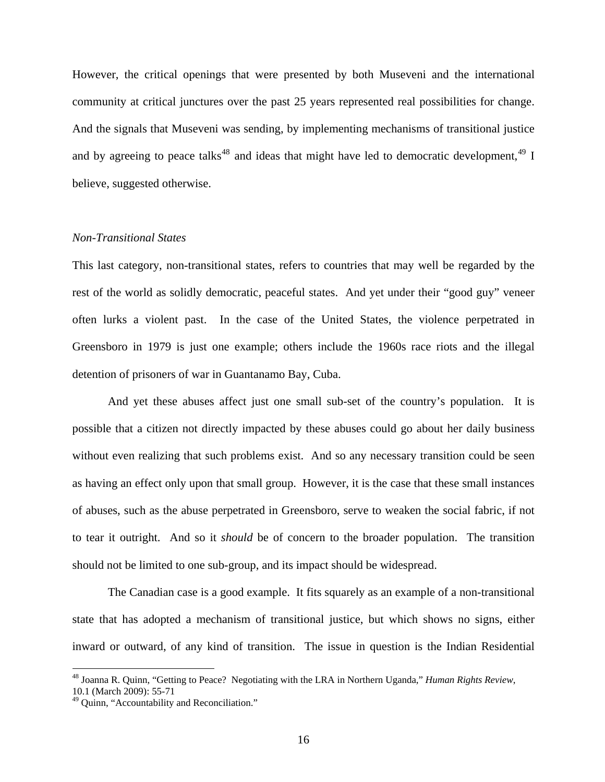However, the critical openings that were presented by both Museveni and the international community at critical junctures over the past 25 years represented real possibilities for change. And the signals that Museveni was sending, by implementing mechanisms of transitional justice and by agreeing to peace talks<sup>[48](#page-15-0)</sup> and ideas that might have led to democratic development,  $49 \text{ I}$  $49 \text{ I}$ believe, suggested otherwise.

## *Non-Transitional States*

This last category, non-transitional states, refers to countries that may well be regarded by the rest of the world as solidly democratic, peaceful states. And yet under their "good guy" veneer often lurks a violent past. In the case of the United States, the violence perpetrated in Greensboro in 1979 is just one example; others include the 1960s race riots and the illegal detention of prisoners of war in Guantanamo Bay, Cuba.

 And yet these abuses affect just one small sub-set of the country's population. It is possible that a citizen not directly impacted by these abuses could go about her daily business without even realizing that such problems exist. And so any necessary transition could be seen as having an effect only upon that small group. However, it is the case that these small instances of abuses, such as the abuse perpetrated in Greensboro, serve to weaken the social fabric, if not to tear it outright. And so it *should* be of concern to the broader population. The transition should not be limited to one sub-group, and its impact should be widespread.

 The Canadian case is a good example. It fits squarely as an example of a non-transitional state that has adopted a mechanism of transitional justice, but which shows no signs, either inward or outward, of any kind of transition. The issue in question is the Indian Residential

<span id="page-15-0"></span><sup>48</sup> Joanna R. Quinn, "Getting to Peace? Negotiating with the LRA in Northern Uganda," *Human Rights Review*, 10.1 (March 2009): 55-71

<span id="page-15-1"></span><sup>49</sup> Quinn, "Accountability and Reconciliation."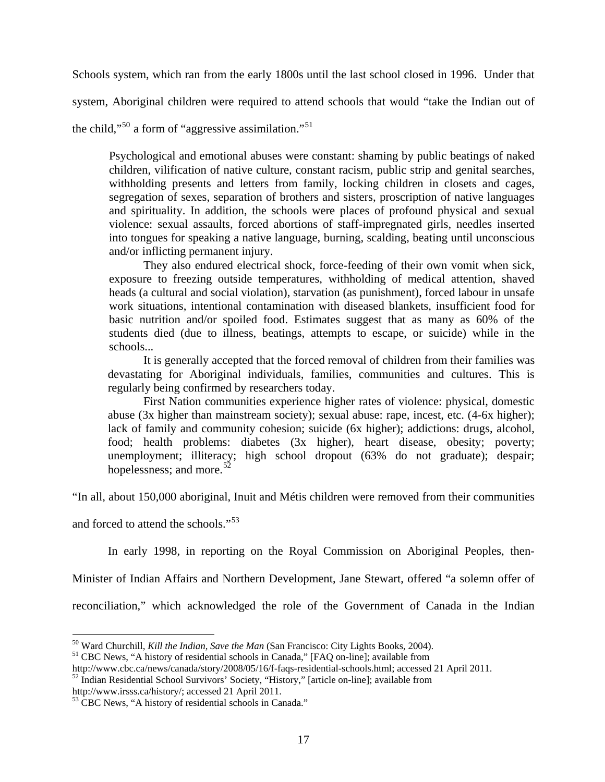Schools system, which ran from the early 1800s until the last school closed in 1996. Under that

system, Aboriginal children were required to attend schools that would "take the Indian out of

the child,"<sup>[50](#page-16-0)</sup> a form of "aggressive assimilation."<sup>[51](#page-16-1)</sup>

Psychological and emotional abuses were constant: shaming by public beatings of naked children, vilification of native culture, constant racism, public strip and genital searches, withholding presents and letters from family, locking children in closets and cages, segregation of sexes, separation of brothers and sisters, proscription of native languages and spirituality. In addition, the schools were places of profound physical and sexual violence: sexual assaults, forced abortions of staff-impregnated girls, needles inserted into tongues for speaking a native language, burning, scalding, beating until unconscious and/or inflicting permanent injury.

 They also endured electrical shock, force-feeding of their own vomit when sick, exposure to freezing outside temperatures, withholding of medical attention, shaved heads (a cultural and social violation), starvation (as punishment), forced labour in unsafe work situations, intentional contamination with diseased blankets, insufficient food for basic nutrition and/or spoiled food. Estimates suggest that as many as 60% of the students died (due to illness, beatings, attempts to escape, or suicide) while in the schools...

It is generally accepted that the forced removal of children from their families was devastating for Aboriginal individuals, families, communities and cultures. This is regularly being confirmed by researchers today.

 First Nation communities experience higher rates of violence: physical, domestic abuse (3x higher than mainstream society); sexual abuse: rape, incest, etc. (4-6x higher); lack of family and community cohesion; suicide (6x higher); addictions: drugs, alcohol, food; health problems: diabetes (3x higher), heart disease, obesity; poverty; unemployment; illiteracy; high school dropout (63% do not graduate); despair; hopelessness; and more.<sup>[52](#page-16-2)</sup>

"In all, about 150,000 aboriginal, Inuit and Métis children were removed from their communities

and forced to attend the schools."<sup>[53](#page-16-3)</sup>

 $\overline{a}$ 

In early 1998, in reporting on the Royal Commission on Aboriginal Peoples, then-

Minister of Indian Affairs and Northern Development, Jane Stewart, offered "a solemn offer of

reconciliation," which acknowledged the role of the Government of Canada in the Indian

<span id="page-16-0"></span><sup>&</sup>lt;sup>50</sup> Ward Churchill, *Kill the Indian, Save the Man* (San Francisco: City Lights Books, 2004).<br><sup>51</sup> CBC News, "A history of residential schools in Canada," [FAQ on-line]; available from<br>http://www.cbc.ca/news/canada/story/

<span id="page-16-1"></span>

<span id="page-16-2"></span><sup>&</sup>lt;sup>52</sup> Indian Residential School Survivors' Society, "History," [article on-line]; available from http://www.irsss.ca/history/; accessed 21 April 2011.

<span id="page-16-3"></span> $\frac{53}{3}$  CBC News, "A history of residential schools in Canada."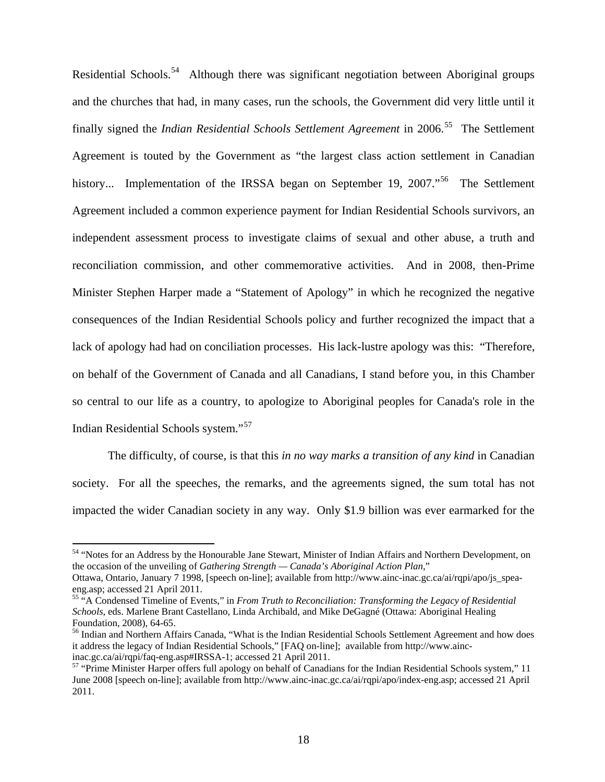Residential Schools.<sup>[54](#page-17-0)</sup> Although there was significant negotiation between Aboriginal groups and the churches that had, in many cases, run the schools, the Government did very little until it finally signed the *Indian Residential Schools Settlement Agreement* in 2006.<sup>[55](#page-17-1)</sup> The Settlement Agreement is touted by the Government as "the largest class action settlement in Canadian history... Implementation of the IRSSA began on September 19, 2007."<sup>[56](#page-17-2)</sup> The Settlement Agreement included a common experience payment for Indian Residential Schools survivors, an independent assessment process to investigate claims of sexual and other abuse, a truth and reconciliation commission, and other commemorative activities. And in 2008, then-Prime Minister Stephen Harper made a "Statement of Apology" in which he recognized the negative consequences of the Indian Residential Schools policy and further recognized the impact that a lack of apology had had on conciliation processes. His lack-lustre apology was this: "Therefore, on behalf of the Government of Canada and all Canadians, I stand before you, in this Chamber so central to our life as a country, to apologize to Aboriginal peoples for Canada's role in the Indian Residential Schools system."[57](#page-17-3)

 The difficulty, of course, is that this *in no way marks a transition of any kind* in Canadian society. For all the speeches, the remarks, and the agreements signed, the sum total has not impacted the wider Canadian society in any way. Only \$1.9 billion was ever earmarked for the

<span id="page-17-0"></span><sup>&</sup>lt;sup>54</sup> "Notes for an Address by the Honourable Jane Stewart, Minister of Indian Affairs and Northern Development, on the occasion of the unveiling of *Gathering Strength — Canada's Aboriginal Action Plan*,"

Ottawa, Ontario, January 7 1998, [speech on-line]; available from http://www.ainc-inac.gc.ca/ai/rqpi/apo/js\_speaeng.asp; accessed 21 April 2011.

<span id="page-17-1"></span><sup>55 &</sup>quot;A Condensed Timeline of Events," in *From Truth to Reconciliation: Transforming the Legacy of Residential Schools*, eds. Marlene Brant Castellano, Linda Archibald, and Mike DeGagné (Ottawa: Aboriginal Healing Foundation, 2008), 64-65.

<span id="page-17-2"></span><sup>56</sup> Indian and Northern Affairs Canada, "What is the Indian Residential Schools Settlement Agreement and how does it address the legacy of Indian Residential Schools," [FAQ on-line]; available from http://www.ainc-<br>inac.gc.ca/ai/rqpi/faq-eng.asp#IRSSA-1; accessed 21 April 2011.

<span id="page-17-3"></span> $57$  "Prime Minister Harper offers full apology on behalf of Canadians for the Indian Residential Schools system," 11 June 2008 [speech on-line]; available from http://www.ainc-inac.gc.ca/ai/rqpi/apo/index-eng.asp; accessed 21 April 2011.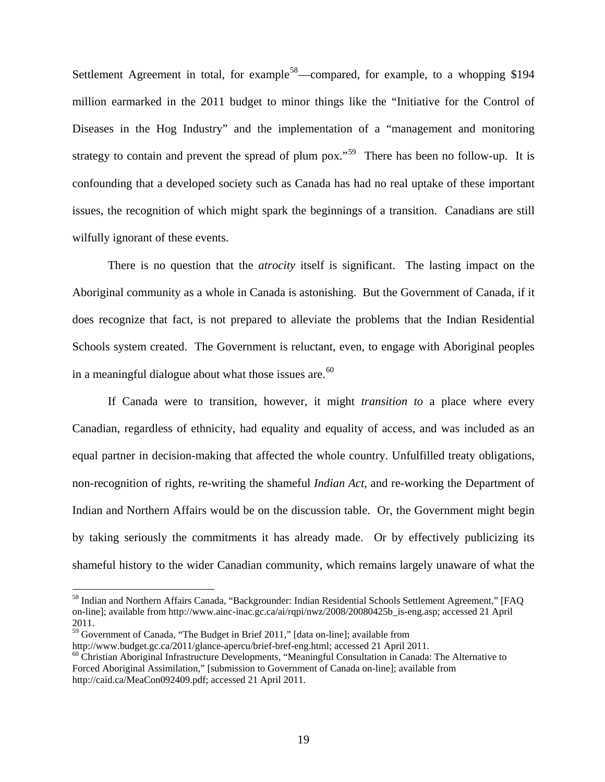Settlement Agreement in total, for example<sup>[58](#page-18-0)</sup>—compared, for example, to a whopping \$194 million earmarked in the 2011 budget to minor things like the "Initiative for the Control of Diseases in the Hog Industry" and the implementation of a "management and monitoring strategy to contain and prevent the spread of plum  $p_0x$ .<sup> $59$ </sup> There has been no follow-up. It is confounding that a developed society such as Canada has had no real uptake of these important issues, the recognition of which might spark the beginnings of a transition. Canadians are still wilfully ignorant of these events.

 There is no question that the *atrocity* itself is significant. The lasting impact on the Aboriginal community as a whole in Canada is astonishing. But the Government of Canada, if it does recognize that fact, is not prepared to alleviate the problems that the Indian Residential Schools system created. The Government is reluctant, even, to engage with Aboriginal peoples in a meaningful dialogue about what those issues are. $60$ 

 If Canada were to transition, however, it might *transition to* a place where every Canadian, regardless of ethnicity, had equality and equality of access, and was included as an equal partner in decision-making that affected the whole country. Unfulfilled treaty obligations, non-recognition of rights, re-writing the shameful *Indian Act*, and re-working the Department of Indian and Northern Affairs would be on the discussion table. Or, the Government might begin by taking seriously the commitments it has already made. Or by effectively publicizing its shameful history to the wider Canadian community, which remains largely unaware of what the

<span id="page-18-0"></span><sup>&</sup>lt;sup>58</sup> Indian and Northern Affairs Canada, "Backgrounder: Indian Residential Schools Settlement Agreement," [FAQ on-line]; available from http://www.ainc-inac.gc.ca/ai/rqpi/nwz/2008/20080425b\_is-eng.asp; accessed 21 April 2011.

<span id="page-18-1"></span><sup>&</sup>lt;sup>59</sup> Government of Canada, "The Budget in Brief 2011," [data on-line]; available from

http://www.budget.gc.ca/2011/glance-apercu/brief-bref-eng.html; accessed 21 April 2011.<br><sup>60</sup> Christian Aboriginal Infrastructure Developments, "Meaningful Consultation in Canada: The Alternative to

<span id="page-18-2"></span>Forced Aboriginal Assimilation," [submission to Government of Canada on-line]; available from http://caid.ca/MeaCon092409.pdf; accessed 21 April 2011.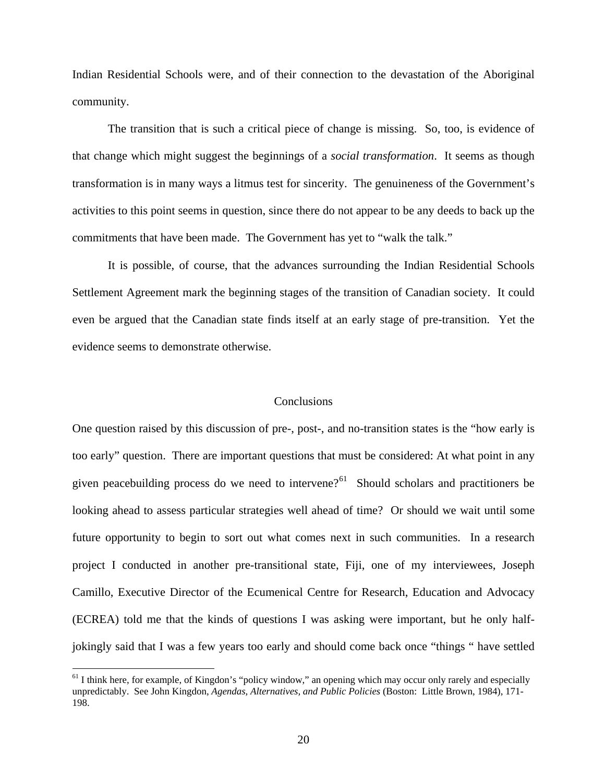Indian Residential Schools were, and of their connection to the devastation of the Aboriginal community.

 The transition that is such a critical piece of change is missing. So, too, is evidence of that change which might suggest the beginnings of a *social transformation*. It seems as though transformation is in many ways a litmus test for sincerity. The genuineness of the Government's activities to this point seems in question, since there do not appear to be any deeds to back up the commitments that have been made. The Government has yet to "walk the talk."

 It is possible, of course, that the advances surrounding the Indian Residential Schools Settlement Agreement mark the beginning stages of the transition of Canadian society. It could even be argued that the Canadian state finds itself at an early stage of pre-transition. Yet the evidence seems to demonstrate otherwise.

## **Conclusions**

One question raised by this discussion of pre-, post-, and no-transition states is the "how early is too early" question. There are important questions that must be considered: At what point in any given peacebuilding process do we need to intervene?<sup>[61](#page-19-0)</sup> Should scholars and practitioners be looking ahead to assess particular strategies well ahead of time? Or should we wait until some future opportunity to begin to sort out what comes next in such communities. In a research project I conducted in another pre-transitional state, Fiji, one of my interviewees, Joseph Camillo, Executive Director of the Ecumenical Centre for Research, Education and Advocacy (ECREA) told me that the kinds of questions I was asking were important, but he only halfjokingly said that I was a few years too early and should come back once "things " have settled

<span id="page-19-0"></span><sup>&</sup>lt;sup>61</sup> I think here, for example, of Kingdon's "policy window," an opening which may occur only rarely and especially unpredictably. See John Kingdon, *Agendas, Alternatives, and Public Policies* (Boston: Little Brown, 1984), 171- 198.